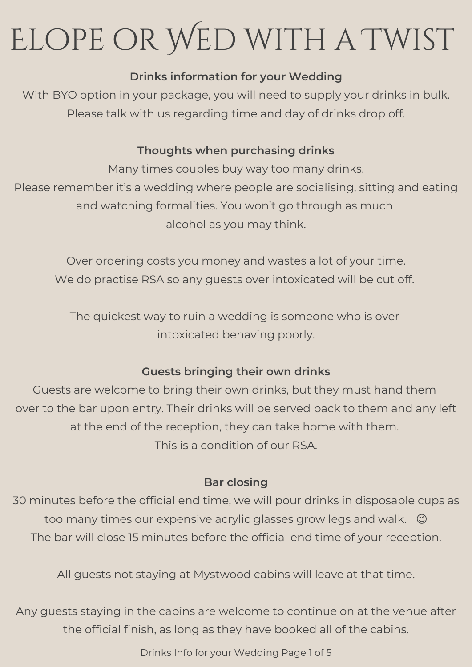## **Drinks information for your Wedding**

With BYO option in your package, you will need to supply your drinks in bulk. Please talk with us regarding time and day of drinks drop off.

## **Thoughts when purchasing drinks**

Many times couples buy way too many drinks. Please remember it's a wedding where people are socialising, sitting and eating and watching formalities. You won't go through as much alcohol as you may think.

Over ordering costs you money and wastes a lot of your time. We do practise RSA so any guests over intoxicated will be cut off.

The quickest way to ruin a wedding is someone who is over intoxicated behaving poorly.

# **Guests bringing their own drinks**

Guests are welcome to bring their own drinks, but they must hand them over to the bar upon entry. Their drinks will be served back to them and any left at the end of the reception, they can take home with them. This is a condition of our RSA.

## **Bar closing**

30 minutes before the official end time, we will pour drinks in disposable cups as too many times our expensive acrylic glasses grow legs and walk.  $\circledcirc$ The bar will close 15 minutes before the official end time of your reception.

All guests not staying at Mystwood cabins will leave at that time.

Any guests staying in the cabins are welcome to continue on at the venue after the official finish, as long as they have booked all of the cabins.

Drinks Info for your Wedding Page 1 of 5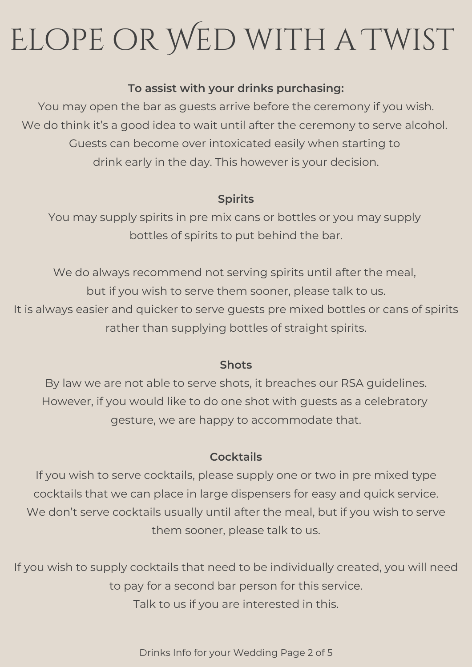## **To assist with your drinks purchasing:**

You may open the bar as guests arrive before the ceremony if you wish. We do think it's a good idea to wait until after the ceremony to serve alcohol. Guests can become over intoxicated easily when starting to drink early in the day. This however is your decision.

## **Spirits**

You may supply spirits in pre mix cans or bottles or you may supply bottles of spirits to put behind the bar.

We do always recommend not serving spirits until after the meal, but if you wish to serve them sooner, please talk to us. It is always easier and quicker to serve guests pre mixed bottles or cans of spirits rather than supplying bottles of straight spirits.

## **Shots**

By law we are not able to serve shots, it breaches our RSA guidelines. However, if you would like to do one shot with guests as a celebratory gesture, we are happy to accommodate that.

## **Cocktails**

If you wish to serve cocktails, please supply one or two in pre mixed type cocktails that we can place in large dispensers for easy and quick service. We don't serve cocktails usually until after the meal, but if you wish to serve them sooner, please talk to us.

If you wish to supply cocktails that need to be individually created, you will need to pay for a second bar person for this service.

Talk to us if you are interested in this.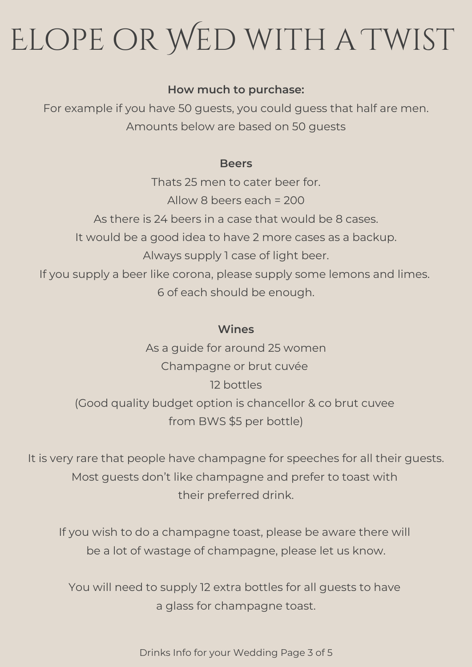### **How much to purchase:**

For example if you have 50 guests, you could guess that half are men. Amounts below are based on 50 guests

#### **Beers**

Thats 25 men to cater beer for. Allow 8 beers each = 200 As there is 24 beers in a case that would be 8 cases. It would be a good idea to have 2 more cases as a backup. Always supply 1 case of light beer. If you supply a beer like corona, please supply some lemons and limes. 6 of each should be enough.

### **Wines**

As a guide for around 25 women Champagne or brut cuvée 12 bottles (Good quality budget option is chancellor & co brut cuvee from BWS \$5 per bottle)

It is very rare that people have champagne for speeches for all their guests. Most guests don't like champagne and prefer to toast with their preferred drink.

If you wish to do a champagne toast, please be aware there will be a lot of wastage of champagne, please let us know.

You will need to supply 12 extra bottles for all guests to have a glass for champagne toast.

Drinks Info for your Wedding Page 3 of 5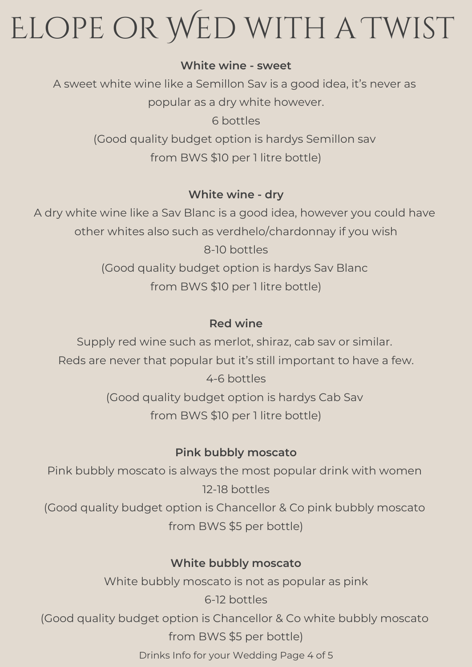#### **White wine - sweet**

A sweet white wine like a Semillon Sav is a good idea, it's never as popular as a dry white however. 6 bottles (Good quality budget option is hardys Semillon sav from BWS \$10 per 1 litre bottle)

## **White wine - dry**

A dry white wine like a Sav Blanc is a good idea, however you could have other whites also such as verdhelo/chardonnay if you wish 8-10 bottles (Good quality budget option is hardys Sav Blanc from BWS \$10 per 1 litre bottle)

## **Red wine**

Supply red wine such as merlot, shiraz, cab sav or similar. Reds are never that popular but it's still important to have a few. 4-6 bottles (Good quality budget option is hardys Cab Sav from BWS \$10 per 1 litre bottle)

## **Pink bubbly moscato**

Pink bubbly moscato is always the most popular drink with women 12-18 bottles (Good quality budget option is Chancellor & Co pink bubbly moscato from BWS \$5 per bottle)

## **White bubbly moscato**

White bubbly moscato is not as popular as pink

6-12 bottles (Good quality budget option is Chancellor & Co white bubbly moscato from BWS \$5 per bottle)

Drinks Info for your Wedding Page 4 of 5